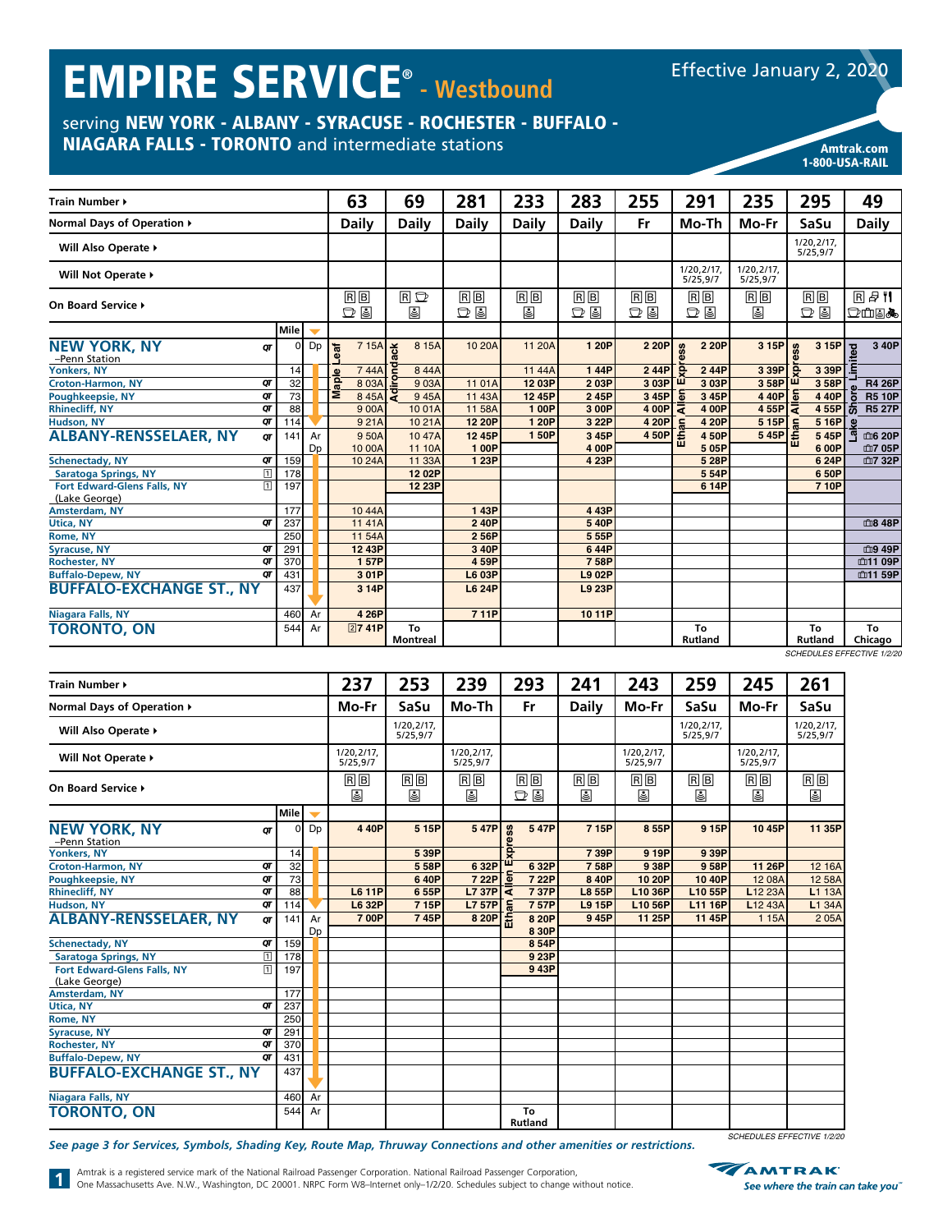# EMPIRE SERVICE® **- Westbound**

Effective January 2, 2020

1-800-USA-RAIL

# serving NEW YORK - ALBANY - SYRACUSE - ROCHESTER - BUFFALO -

NIAGARA FALLS - TORONTO and intermediate stations American Contract Communications Amtrak.com

| <b>Train Number ▶</b>                                                 |      |                          |            | 63           | 69                    | 281                                  | 233          | 283                                  | 255            |       | 291                                  | 235                                | 295                     | 49                                                |
|-----------------------------------------------------------------------|------|--------------------------|------------|--------------|-----------------------|--------------------------------------|--------------|--------------------------------------|----------------|-------|--------------------------------------|------------------------------------|-------------------------|---------------------------------------------------|
| Normal Days of Operation ▶                                            |      |                          |            | <b>Daily</b> | <b>Daily</b>          | <b>Daily</b>                         | <b>Daily</b> | <b>Daily</b>                         | Fr             |       | Mo-Th                                | Mo-Fr                              | SaSu                    | <b>Daily</b>                                      |
| Will Also Operate ▶                                                   |      |                          |            |              |                       |                                      |              |                                      |                |       |                                      |                                    | 1/20, 2/17,<br>5/25,9/7 |                                                   |
| Will Not Operate ▶                                                    |      |                          |            |              |                       |                                      |              |                                      |                |       | 1/20,2/17,<br>5/25,9/7               | 1/20,2/17,<br>5/25,9/7             |                         |                                                   |
| On Board Service >                                                    |      |                          |            | RB<br>$D$ &  | RD<br>⋓               | $\overline{R}$ $\overline{B}$<br>D 9 | RB<br>⋓      | $\overline{B}$ $\overline{B}$<br>d e | $R$ $B$<br>D 9 |       | $\overline{R}$ $\overline{B}$<br>D 9 | $\overline{B}$ $\overline{B}$<br>◙ | $R$ $B$<br>$D$ .        | <b>R</b> <sup>#1</sup><br>$D$ mua $\blacklozenge$ |
|                                                                       | Mile | $\overline{\phantom{0}}$ |            |              |                       |                                      |              |                                      |                |       |                                      |                                    |                         |                                                   |
| <b>NEW YORK, NY</b><br>QΤ<br>-Penn Station                            |      | Dp                       | <b>eaf</b> | 7 15A        | 8 15A<br>š            | 10 20A                               | 11 20A       | 1 20P                                | 2 20P          | ess   | 2 20P                                | 3 15P                              | 3 15P<br>ess            | 3 40P<br>ited                                     |
| <b>Yonkers, NY</b>                                                    | 14   |                          |            | 744A         | Ë<br>844A             |                                      | 1144A        | 144P                                 | 244P           | ē     | 244P                                 | 3 39P                              | 3 39P                   |                                                   |
| <b>Croton-Harmon, NY</b><br>QΤ                                        | 32   |                          | aple       | 8 0 3 A      | 903A                  | 1101A                                | 12 03P       | 203P                                 | 3 03P          | ш     | 3 03P                                | 358P                               | ш<br>358P               | <b>R4 26P</b>                                     |
| QΤ<br><b>Poughkeepsie, NY</b>                                         | 73   |                          | Σ          | 845A         | ट्ट<br>945A           | 11 43A                               | 12 45P       | 245P                                 | 3 45P          | 둡     | 3 45P                                | 440P                               | 둡<br>4 4 0 P            | <b>R5 10P</b><br>ā                                |
| <b>Rhinecliff, NY</b><br>QΤ                                           | 88   |                          |            | 900A         | 1001A                 | 11 58A                               | 1 00P        | 3 00P                                | 4 00P          | ₹     | 4 00P                                | 4 55P                              | lā<br>455P              | l ಕೆ<br><b>R5 27P</b>                             |
| Hudson, NY<br>QΤ                                                      | 114  |                          |            | 921A         | 1021A                 | 12 20P                               | 1 20P        | 3 22P                                | 4 20P          |       | 4 20P                                | 5 15P                              | 5 16P<br>$\mathbf{r}$   | $\omega$                                          |
| <b>ALBANY-RENSSELAER, NY</b><br>$\sigma$                              | 141  | Ar                       |            | 950A         | 1047A                 | 12 45P                               | 150P         | 3 45P                                | 450P           | Ethan | 4 50P                                | $\frac{1}{5}$ 45P $\frac{8}{5}$    | 5 45P                   | 血6 20P<br>ଙ୍                                      |
|                                                                       |      | Dp                       |            | 10 00A       | 11 10A                | 100P                                 |              | 4 00P                                |                |       | 505P                                 |                                    | 6 00P                   | 血7 05P                                            |
| QT<br><b>Schenectady, NY</b>                                          | 159  |                          |            | 10 24A       | 11 33A                | 1 23P                                |              | 4 23P                                |                |       | 5 28P                                |                                    | 6 24P                   | 血7 32P                                            |
| $\boxed{1}$<br><b>Saratoga Springs, NY</b>                            | 178  |                          |            |              | 1202P                 |                                      |              |                                      |                |       | 554P                                 |                                    | 6 50P                   |                                                   |
| $\overline{1}$<br><b>Fort Edward-Glens Falls, NY</b><br>(Lake George) | 197  |                          |            |              | 12 23P                |                                      |              |                                      |                |       | 6 14P                                |                                    | 7 10P                   |                                                   |
| <b>Amsterdam, NY</b>                                                  | 177  |                          |            | 1044A        |                       | 143P                                 |              | 443P                                 |                |       |                                      |                                    |                         |                                                   |
| QT<br><b>Utica, NY</b>                                                | 237  |                          |            | 1141A        |                       | 240P                                 |              | 540P                                 |                |       |                                      |                                    |                         | 血8 48P                                            |
| <b>Rome, NY</b>                                                       | 250  |                          |            | 11 54A       |                       | 256P                                 |              | 555P                                 |                |       |                                      |                                    |                         |                                                   |
| QT<br><b>Syracuse, NY</b>                                             | 291  |                          |            | 12 43P       |                       | 3 40P                                |              | 644P                                 |                |       |                                      |                                    |                         | 血9 49P                                            |
| <b>Rochester, NY</b><br>QΤ                                            | 370  |                          |            | 157P         |                       | 459P                                 |              | 758P                                 |                |       |                                      |                                    |                         | 血11 09P                                           |
| QΤ<br><b>Buffalo-Depew, NY</b>                                        | 431  |                          |            | 301P         |                       | L6 03P                               |              | <b>L9 02P</b>                        |                |       |                                      |                                    |                         | <b>血11 59P</b>                                    |
| <b>BUFFALO-EXCHANGE ST., NY</b>                                       | 437  |                          |            | 3 14P        |                       | <b>L6 24P</b>                        |              | <b>L9 23P</b>                        |                |       |                                      |                                    |                         |                                                   |
| <b>Niagara Falls, NY</b>                                              | 460  | Ar                       |            | 4 26P        |                       | 711P                                 |              | 1011P                                |                |       |                                      |                                    |                         |                                                   |
| <b>TORONTO, ON</b>                                                    | 544  | Ar                       |            | 2741P        | To<br><b>Montreal</b> |                                      |              |                                      |                |       | To<br><b>Rutland</b>                 |                                    | To<br><b>Rutland</b>    | To<br>Chicago                                     |

*SCHEDULES EFFECTIVE 1/2/20*

| <b>Train Number ▶</b>                                  |                        |                          | 237                     | 253                    | 239           | 293                                  | 241           | 243                    | 259                     | 245                 | 261                     |
|--------------------------------------------------------|------------------------|--------------------------|-------------------------|------------------------|---------------|--------------------------------------|---------------|------------------------|-------------------------|---------------------|-------------------------|
| Normal Days of Operation ▶                             |                        |                          | Mo-Fr                   | SaSu                   | Mo-Th         | Fr                                   | <b>Daily</b>  | Mo-Fr                  | SaSu                    | Mo-Fr               | SaSu                    |
| Will Also Operate ▶                                    |                        |                          |                         | 1/20,2/17,<br>5/25,9/7 |               |                                      |               |                        | 1/20, 2/17,<br>5/25,9/7 |                     | 1/20, 2/17,<br>5/25,9/7 |
| Will Not Operate >                                     | 1/20,2/17,<br>5/25,9/7 |                          | 1/20, 2/17,<br>5/25,9/7 |                        |               | 1/20,2/17,<br>5/25,9/7               |               | 1/20,2/17,<br>5/25,9/7 |                         |                     |                         |
| On Board Service ▶                                     |                        |                          | RB<br>⋓                 | $R$ $B$<br>€           | $R$ $B$<br>€  | $\overline{R}$ $\overline{B}$<br>D 9 | $R$ $B$<br>⋓  | $R$ $B$<br>⋓           | $R$ $B$<br>⋓            | RB<br>圓             | RB<br>⋓                 |
|                                                        | Mile                   | $\overline{\phantom{0}}$ |                         |                        |               |                                      |               |                        |                         |                     |                         |
| <b>NEW YORK, NY</b><br>QΤ<br>-Penn Station             | $\Omega$               | Dp                       | 4 4 0 P                 | 5 15P                  | 547P          | SS<br>547P<br>Φ                      | 715P          | 855P                   | 9 15P                   | 10 45P              | 11 35P                  |
| <b>Yonkers, NY</b>                                     | 14                     |                          |                         | 539P                   |               | ō                                    | 739P          | 9 19P                  | 9 39P                   |                     |                         |
| <b>Croton-Harmon, NY</b><br>QT                         | 32                     |                          |                         | 558P                   | 632P          | ш<br>632P                            | 758P          | 938P                   | 9 58P                   | 11 26P              | 12 16A                  |
| QT<br><b>Poughkeepsie, NY</b>                          | $\overline{73}$        |                          |                         | 640P                   | 7 22P         | <u>ិត</u><br>7 22P                   | 8 40P         | 10 20P                 | 10 40P                  | 12 08A              | 12 58A                  |
| <b>Rhinecliff, NY</b><br>QT                            | 88                     |                          | <b>L6 11P</b>           | 655P                   | <b>L7 37P</b> | ₹<br>737P                            | <b>L8 55P</b> | L10 36P                | L10 55P                 | L <sub>12</sub> 23A | L1 13A                  |
| QT<br>Hudson, NY                                       | 114                    |                          | <b>L6 32P</b>           | 715P                   | <b>L7 57P</b> | l S<br>757P                          | <b>L9 15P</b> | L10 56P                | L11 16P                 | L12 43A             | L1 34A                  |
| <b>ALBANY-RENSSELAER, NY</b><br>OΤ                     | 141                    | Ar                       | 700P                    | 745P                   | 8 20P         | Γ£<br>8 20P                          | 945P          | 11 25P                 | 11 45P                  | 1 1 5 A             | 205A                    |
|                                                        |                        | Dp                       |                         |                        |               | 8 30P                                |               |                        |                         |                     |                         |
| QT<br><b>Schenectady, NY</b>                           | 159                    |                          |                         |                        |               | 854P                                 |               |                        |                         |                     |                         |
| $\overline{\mathbb{1}}$<br><b>Saratoga Springs, NY</b> | 178                    |                          |                         |                        |               | 9 23P                                |               |                        |                         |                     |                         |
| Fort Edward-Glens Falls, NY<br>$\overline{1}$          | 197                    |                          |                         |                        |               | 943P                                 |               |                        |                         |                     |                         |
| (Lake George)                                          |                        |                          |                         |                        |               |                                      |               |                        |                         |                     |                         |
| Amsterdam, NY                                          | 177                    |                          |                         |                        |               |                                      |               |                        |                         |                     |                         |
| QΤ<br><b>Utica, NY</b>                                 | 237                    |                          |                         |                        |               |                                      |               |                        |                         |                     |                         |
| Rome, NY                                               | 250                    |                          |                         |                        |               |                                      |               |                        |                         |                     |                         |
| QΤ<br><b>Syracuse, NY</b>                              | 291                    |                          |                         |                        |               |                                      |               |                        |                         |                     |                         |
| QΤ<br><b>Rochester, NY</b>                             | 370                    |                          |                         |                        |               |                                      |               |                        |                         |                     |                         |
| <b>Buffalo-Depew, NY</b><br>σт                         | 431                    |                          |                         |                        |               |                                      |               |                        |                         |                     |                         |
| <b>BUFFALO-EXCHANGE ST., NY</b>                        | 437                    |                          |                         |                        |               |                                      |               |                        |                         |                     |                         |
| <b>Niagara Falls, NY</b>                               | 460                    | Ar                       |                         |                        |               |                                      |               |                        |                         |                     |                         |
| <b>TORONTO, ON</b>                                     | 544                    | Ar                       |                         |                        |               | To<br><b>Rutland</b>                 |               |                        |                         |                     |                         |

*See page 3 for Services, Symbols, Shading Key, Route Map, Thruway Connections and other amenities or restrictions.*



*SCHEDULES EFFECTIVE 1/2/20*

Amtrak is a registered service mark of the National Railroad Passenger Corporation. National Railroad Passenger Corporation, One Massachusetts Ave. N.W., Washington, DC 20001. NRPC Form W8–Internet only–1/2/20. Schedules subject to change without notice.

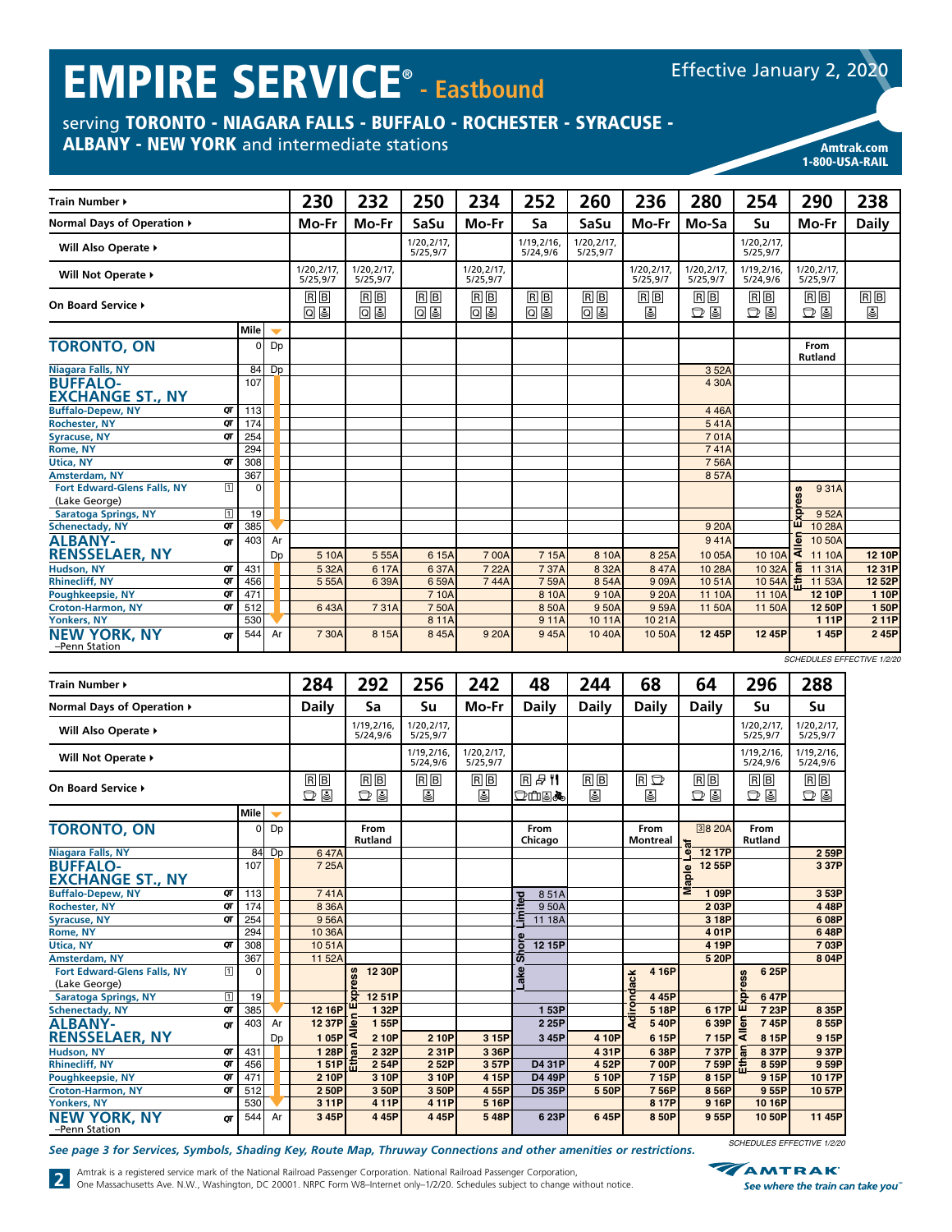# EMPIRE SERVICE® **- Eastbound**

# serving TORONTO - NIAGARA FALLS - BUFFALO - ROCHESTER - SYRACUSE -

ALBANY - NEW YORK and intermediate stations American Control of the Amtrak.com

| <b>Train Number ▶</b>                        |             |      |    | 230                    | 232                    | 250                    | 234                    | 252                    | 260                    | 236                    | 280                    | 254                     | 290                                       | 238          |
|----------------------------------------------|-------------|------|----|------------------------|------------------------|------------------------|------------------------|------------------------|------------------------|------------------------|------------------------|-------------------------|-------------------------------------------|--------------|
| Normal Days of Operation ▶                   |             |      |    | Mo-Fr                  | Mo-Fr                  | SaSu                   | Mo-Fr                  | Sa                     | SaSu                   | Mo-Fr                  | Mo-Sa                  | Su                      | Mo-Fr                                     | <b>Daily</b> |
| Will Also Operate ▶                          |             |      |    |                        |                        | 1/20,2/17,<br>5/25,9/7 |                        | 1/19,2/16,<br>5/24,9/6 | 1/20,2/17,<br>5/25.9/7 |                        |                        | 1/20, 2/17,<br>5/25,9/7 |                                           |              |
| Will Not Operate >                           |             |      |    | 1/20,2/17,<br>5/25.9/7 | 1/20.2/17.<br>5/25.9/7 |                        | 1/20.2/17.<br>5/25.9/7 |                        |                        | 1/20,2/17,<br>5/25.9/7 | 1/20,2/17,<br>5/25.9/7 | 1/19.2/16.<br>5/24.9/6  | 1/20,2/17,<br>5/25.9/7                    |              |
| On Board Service ▶                           |             |      |    | RB<br>Q &              | $B$ $B$<br>08          | $B$ $B$<br>回国          | RB<br>回国               | $B$ $B$<br>Q &         | $R$ $B$<br>09          | $B$ $B$<br>圓           | RB<br>D 9              | $B$ $B$<br>ロロ           | $B$ $B$<br>D 9                            | $B$ $B$<br>⋓ |
|                                              |             | Mile |    |                        |                        |                        |                        |                        |                        |                        |                        |                         |                                           |              |
| <b>TORONTO, ON</b>                           |             | ΩI   | Dp |                        |                        |                        |                        |                        |                        |                        |                        |                         | From<br><b>Rutland</b>                    |              |
| Niagara Falls, NY                            |             | 84   | Dp |                        |                        |                        |                        |                        |                        |                        | 352A                   |                         |                                           |              |
| <b>BUFFALO-</b><br><b>EXCHANGE ST., NY</b>   |             | 107  |    |                        |                        |                        |                        |                        |                        |                        | 4 30A                  |                         |                                           |              |
| <b>Buffalo-Depew, NY</b>                     | QT          | 113  |    |                        |                        |                        |                        |                        |                        |                        | 446A                   |                         |                                           |              |
| <b>Rochester, NY</b>                         | QΤ          | 174  |    |                        |                        |                        |                        |                        |                        |                        | 541A                   |                         |                                           |              |
| <b>Syracuse, NY</b>                          | QΤ          | 254  |    |                        |                        |                        |                        |                        |                        |                        | 701A                   |                         |                                           |              |
| Rome, NY                                     |             | 294  |    |                        |                        |                        |                        |                        |                        |                        | 741A                   |                         |                                           |              |
| <b>Utica, NY</b>                             | ОТ          | 308  |    |                        |                        |                        |                        |                        |                        |                        | 756A                   |                         |                                           |              |
| <b>Amsterdam, NY</b>                         |             | 367  |    |                        |                        |                        |                        |                        |                        |                        | 857A                   |                         |                                           |              |
| Fort Edward-Glens Falls, NY<br>(Lake George) | $\sqrt{1}$  | n    |    |                        |                        |                        |                        |                        |                        |                        |                        |                         | 931A<br>ress                              |              |
| <b>Saratoga Springs, NY</b>                  | $\boxed{1}$ | 19   |    |                        |                        |                        |                        |                        |                        |                        |                        |                         | ę<br>952A                                 |              |
| <b>Schenectady, NY</b>                       | QΤ          | 385  |    |                        |                        |                        |                        |                        |                        |                        | 9 20A                  |                         | m<br>10 28A                               |              |
| <b>ALBANY-</b>                               | σг          | 403  | Ar |                        |                        |                        |                        |                        |                        |                        | 941A                   |                         | 등<br>10 50A                               |              |
| <b>RENSSELAER, NY</b>                        |             |      | Dp | 5 10A                  | 5 5 5 A                | 6 15A                  | 700A                   | 7 15A                  | 8 10A                  | 8 25A                  | 1005A                  | 10 10A                  | ₹<br>11 10A                               | 12 10P       |
| Hudson, NY                                   | QT          | 431  |    | 5 32A                  | 6 17A                  | 637A                   | 7 22A                  | 737A                   | 8 32A                  | 847A                   | 10 28A                 | 10 32A                  | 11 31 A                                   | 12 31P       |
| <b>Rhinecliff, NY</b>                        | QT          | 456  |    | 555A                   | 639A                   | 659A                   | 744A                   | 759A                   | 854A                   | 909A                   | 1051A                  | 10 54A                  | 盖<br>11 53A                               | 12 52P       |
| <b>Poughkeepsie, NY</b>                      | QT          | 471  |    |                        |                        | 7 10A                  |                        | 8 10A                  | 9 10A                  | 9 20A                  | 11 10A                 | 11 10A                  | 12 10P                                    | 1 10P        |
| <b>Croton-Harmon, NY</b>                     | QΤ          | 512  |    | 643A                   | 731A                   | 750A                   |                        | 850A                   | 950A                   | 959A                   | 11 50A                 | 11 50A                  | 12 50P                                    | 150P         |
| <b>Yonkers, NY</b>                           |             | 530  |    |                        |                        | 811A                   |                        | 911A                   | 1011A                  | 10 21 A                |                        |                         | 1 1 1 P                                   | 2 11P        |
| <b>NEW YORK, NY</b><br>-Penn Station         | QΓ          | 544  | Ar | 7 30A                  | 8 1 5 A                | 845A                   | 9 20A                  | 945A                   | 1040A                  | 10 50A                 | 12 45P                 | 12 45P                  | 145P<br><b>SCHEDULES EFFECTIVE 1/2/20</b> | 245P         |

| <b>Train Number ▶</b>                                                                                              |             |          |                          | 284          | 292                             | 256                     | 242                    | 48                                   | 244          | 68                      | 64              | 296                               | 288                                      |
|--------------------------------------------------------------------------------------------------------------------|-------------|----------|--------------------------|--------------|---------------------------------|-------------------------|------------------------|--------------------------------------|--------------|-------------------------|-----------------|-----------------------------------|------------------------------------------|
| Normal Days of Operation ▶                                                                                         |             |          |                          | <b>Daily</b> | Sa                              | Su                      | Mo-Fr                  | <b>Daily</b>                         | <b>Daily</b> | <b>Daily</b>            | <b>Daily</b>    | Su                                | Su                                       |
| Will Also Operate >                                                                                                |             |          |                          |              | 1/19,2/16,<br>5/24,9/6          | 1/20, 2/17,<br>5/25,9/7 |                        |                                      |              |                         |                 | 1/20, 2/17,<br>5/25,9/7           | 1/20, 2/17,<br>5/25,9/7                  |
| Will Not Operate ▶                                                                                                 |             |          |                          |              |                                 | 1/19,2/16,<br>5/24,9/6  | 1/20,2/17,<br>5/25,9/7 |                                      |              |                         |                 | 1/19,2/16<br>5/24,9/6             | 1/19.2/16.<br>5/24,9/6                   |
| On Board Service ▶                                                                                                 |             |          |                          | RB<br>D 9    | $R$ $B$<br>D 9                  | $R$ $B$<br>€            | RB<br>⋓                | R # "I<br>o de a                     | $B$ $B$<br>⋓ | RD<br>◙                 | RB<br>D 9       | $\overline{R}$ $B$<br>D 9         | $\boxed{\mathbb{R} \mathbb{B}}$<br>$D$ & |
|                                                                                                                    |             | Mile     | $\overline{\phantom{a}}$ |              |                                 |                         |                        |                                      |              |                         |                 |                                   |                                          |
| <b>TORONTO, ON</b>                                                                                                 |             | $\Omega$ | Dp                       |              | From<br><b>Rutland</b>          |                         |                        | From<br>Chicago                      |              | From<br><b>Montreal</b> | <b>38 20A</b>   | From<br><b>Rutland</b>            |                                          |
| <b>Niagara Falls, NY</b>                                                                                           |             | 84       | D <sub>D</sub>           | 647A         |                                 |                         |                        |                                      |              |                         | eaf<br>12 17P   |                                   | 2 59P                                    |
| <b>BUFFALO-</b><br><b>EXCHANGE ST., NY</b>                                                                         |             | 107      |                          | 7 25A        |                                 |                         |                        |                                      |              |                         | 12 55P<br>Maple |                                   | 3 37P                                    |
| <b>Buffalo-Depew, NY</b>                                                                                           | QT          | 113      |                          | 741A         |                                 |                         |                        | 851A<br>ত                            |              |                         | 109P            |                                   | 3 53P                                    |
| <b>Rochester, NY</b>                                                                                               | QT          | 174      |                          | 8 36A        |                                 |                         |                        | 950A                                 |              |                         | 203P            |                                   | 448P                                     |
| <b>Syracuse, NY</b>                                                                                                | QТ          | 254      |                          | 956A         |                                 |                         |                        | 11 18A                               |              |                         | 3 18P           |                                   | 608P                                     |
| Rome, NY                                                                                                           |             | 294      |                          | 10 36A       |                                 |                         |                        |                                      |              |                         | 401P            |                                   | 648P                                     |
| <b>Utica, NY</b>                                                                                                   | QТ          | 308      |                          | 1051A        |                                 |                         |                        | 12 15P<br>ō                          |              |                         | 4 19P           |                                   | 703P                                     |
| <b>Amsterdam, NY</b>                                                                                               |             | 367      |                          | 11 52A       |                                 |                         |                        | $\overline{\boldsymbol{\mathsf{v}}}$ |              |                         | 5 20P           |                                   | 8 04P                                    |
| Fort Edward-Glens Falls, NY<br>(Lake George)                                                                       | $\sqrt{1}$  | $\Omega$ |                          |              | 12 30P<br>ess                   |                         |                        | Lake                                 |              | 4 16P<br>Adirondack     |                 | 6 25P<br>99<br>õ                  |                                          |
| <b>Saratoga Springs, NY</b>                                                                                        | $\boxed{1}$ | 19       |                          |              | ğ<br>12 51P                     |                         |                        |                                      |              | 445P                    |                 | ō<br>647P                         |                                          |
| <b>Schenectady, NY</b>                                                                                             | OΤ          | 385      |                          | 12 16P       | 1 32P                           |                         |                        | 153P                                 |              | 5 18P                   | 6 17P           | ш<br>7 23P                        | 8 35P                                    |
| <b>ALBANY-</b>                                                                                                     | ОТ          | 403      | Ar                       | 12 37P       | 155P<br>$\overline{\mathbf{C}}$ |                         |                        | 2 25P                                |              | 540P                    | 6 39P           | Allen<br>745P                     | 8 55P                                    |
| <b>RENSSELAER, NY</b>                                                                                              |             |          | Dp                       | 1 05P        | ⋖<br>2 10P                      | 2 10P                   | 3 15P                  | 3 45P                                | 4 10P        | 6 15P                   | 715P            | 8 15P                             | 9 15P                                    |
| Hudson, NY                                                                                                         | QT          | 431      |                          | 1 28P        | 2 3 2 P                         | 231P                    | 3 36P                  |                                      | 431P         | 6 38P                   | 737P            | 837P                              | 937P                                     |
| <b>Rhinecliff, NY</b>                                                                                              | QT          | 456      |                          | 151P         | 2 54P                           | 2 52P                   | 357P                   | D4 31P                               | 452P         | 700P                    | 759P            | 臣<br>8 59P                        | 9 59P                                    |
| Poughkeepsie, NY                                                                                                   | QT          | 471      |                          | 2 10P        | 3 10P                           | 3 10P                   | 4 15P                  | <b>D4 49P</b>                        | 5 10P        | 7 15P                   | 8 15P           | 9 15P                             | 10 17P                                   |
| <b>Croton-Harmon, NY</b>                                                                                           | QΤ          | 512      |                          | 2 50P        | 3 50P                           | 3 50P                   | 455P                   | D5 35P                               | 5 50P        | 756P                    | 8 56P           | 955P                              | 1057P                                    |
| <b>Yonkers, NY</b>                                                                                                 |             | 530      |                          | 3 11P        | 4 11P                           | 4 11P                   | 5 16P                  |                                      |              | 8 17P                   | 9 16P           | 10 16P                            |                                          |
| <b>NEW YORK, NY</b><br>-Penn Station                                                                               | σг          | 544      | Ar                       | 3 45P        | 445P                            | 445P                    | 548P                   | 6 23P                                | 645P         | 8 50P                   | 955P            | 10 50P                            | 11 45P                                   |
| See page 3 for Services, Symbols, Shading Key, Route Map, Thruway Connections and other amenities or restrictions. |             |          |                          |              |                                 |                         |                        |                                      |              |                         |                 | <b>SCHEDULES EFFECTIVE 1/2/20</b> |                                          |

**TAMTRAK** 



2 Amtrak is a registered service mark of the National Railroad Passenger Corporation. National Railroad Passenger Corporation, One Massachusetts Ave. N.W., Washington, DC 20001. NRPC Form W8-Internet only-1/2/20. Schedules

See where the train can take you"

1-800-USA-RAIL